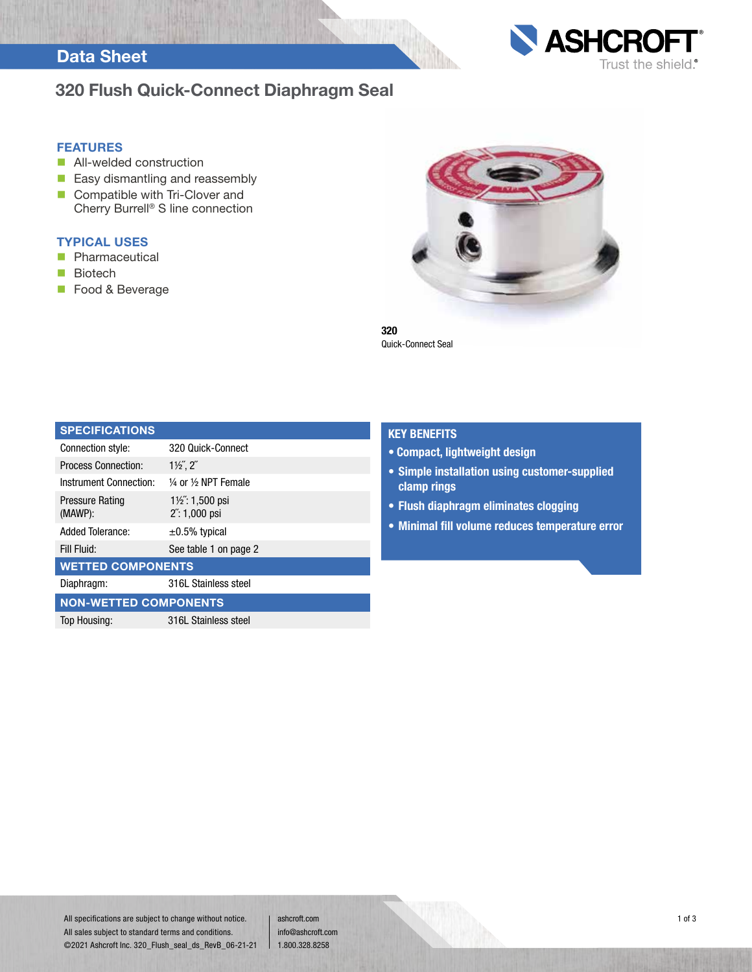### Data Sheet



#### FEATURES

- **All-welded construction**
- **Easy dismantling and reassembly**
- Compatible with Tri-Clover and Cherry Burrell® S line connection

#### TYPICAL USES

- **Pharmaceutical**
- **Biotech**
- **Food & Beverage**



**ASHCROF** 

Trust the shield.®

320 Quick-Connect Seal

| <b>SPECIFICATIONS</b>             |                                                        |  |  |  |
|-----------------------------------|--------------------------------------------------------|--|--|--|
| Connection style:                 | 320 Quick-Connect                                      |  |  |  |
| <b>Process Connection:</b>        | $1\frac{1}{2}$ , $2^r$                                 |  |  |  |
| Instrument Connection:            | 1/4 or 1/2 NPT Female                                  |  |  |  |
| <b>Pressure Rating</b><br>(MAWP): | $1\frac{1}{2}$ : 1,500 psi<br>$2^{\prime}$ : 1,000 psi |  |  |  |
| <b>Added Tolerance:</b>           | $\pm 0.5\%$ typical                                    |  |  |  |
| Fill Fluid:                       | See table 1 on page 2                                  |  |  |  |
| <b>WETTED COMPONENTS</b>          |                                                        |  |  |  |
| Diaphragm:                        | 316L Stainless steel                                   |  |  |  |
| <b>NON-WETTED COMPONENTS</b>      |                                                        |  |  |  |
| Top Housing:                      | 316L Stainless steel                                   |  |  |  |

#### KEY BENEFITS

- Compact, lightweight design
- Simple installation using customer-supplied clamp rings
- Flush diaphragm eliminates clogging
- Minimal fill volume reduces temperature error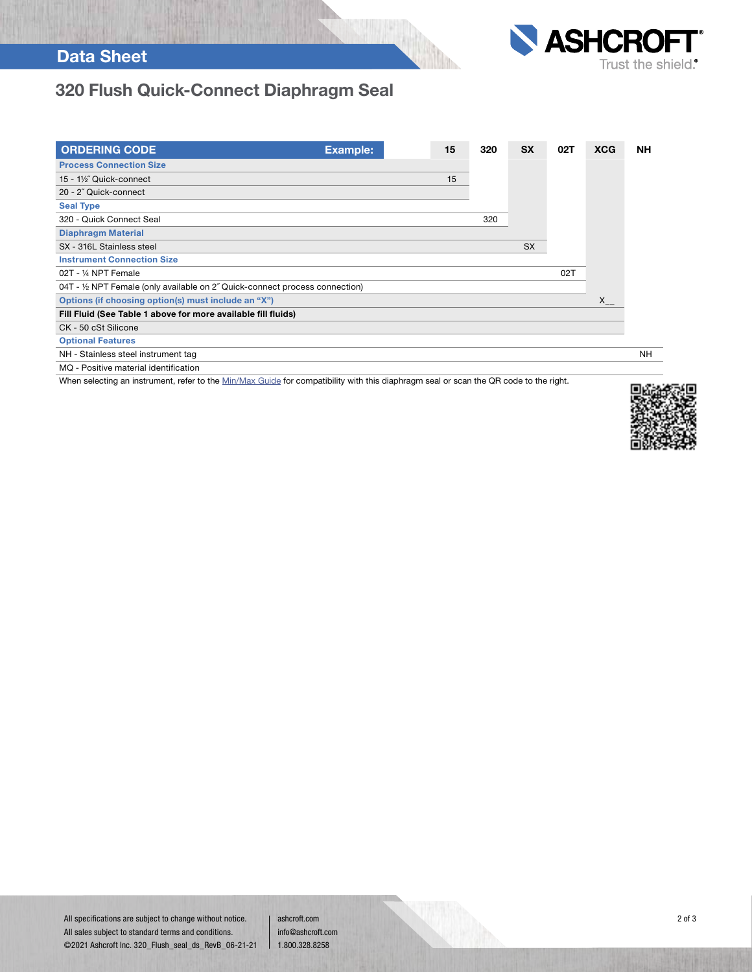# Data Sheet



# 320 Flush Quick-Connect Diaphragm Seal

| <b>ORDERING CODE</b>                                                         | <b>Example:</b> | 15 | 320 | <b>SX</b> | 02T | <b>XCG</b> | <b>NH</b> |
|------------------------------------------------------------------------------|-----------------|----|-----|-----------|-----|------------|-----------|
| <b>Process Connection Size</b>                                               |                 |    |     |           |     |            |           |
| 15 - 1½" Quick-connect                                                       |                 | 15 |     |           |     |            |           |
| 20 - 2" Quick-connect                                                        |                 |    |     |           |     |            |           |
| <b>Seal Type</b>                                                             |                 |    |     |           |     |            |           |
| 320 - Quick Connect Seal                                                     |                 |    | 320 |           |     |            |           |
| <b>Diaphragm Material</b>                                                    |                 |    |     |           |     |            |           |
| SX - 316L Stainless steel                                                    |                 |    |     | <b>SX</b> |     |            |           |
| <b>Instrument Connection Size</b>                                            |                 |    |     |           |     |            |           |
| 02T - 1/4 NPT Female                                                         |                 |    |     |           | 02T |            |           |
| 04T - 1/2 NPT Female (only available on 2" Quick-connect process connection) |                 |    |     |           |     |            |           |
| Options (if choosing option(s) must include an "X")                          |                 |    |     |           |     | $X_{--}$   |           |
| Fill Fluid (See Table 1 above for more available fill fluids)                |                 |    |     |           |     |            |           |
| CK - 50 cSt Silicone                                                         |                 |    |     |           |     |            |           |
| <b>Optional Features</b>                                                     |                 |    |     |           |     |            |           |
| NH - Stainless steel instrument tag                                          |                 |    |     |           |     |            | NH.       |
| MO - Positive material identification                                        |                 |    |     |           |     |            |           |

When selecting an instrument, refer to the Min/Max Guide for compatibility with this diaphragm seal or scan the QR code to the right.